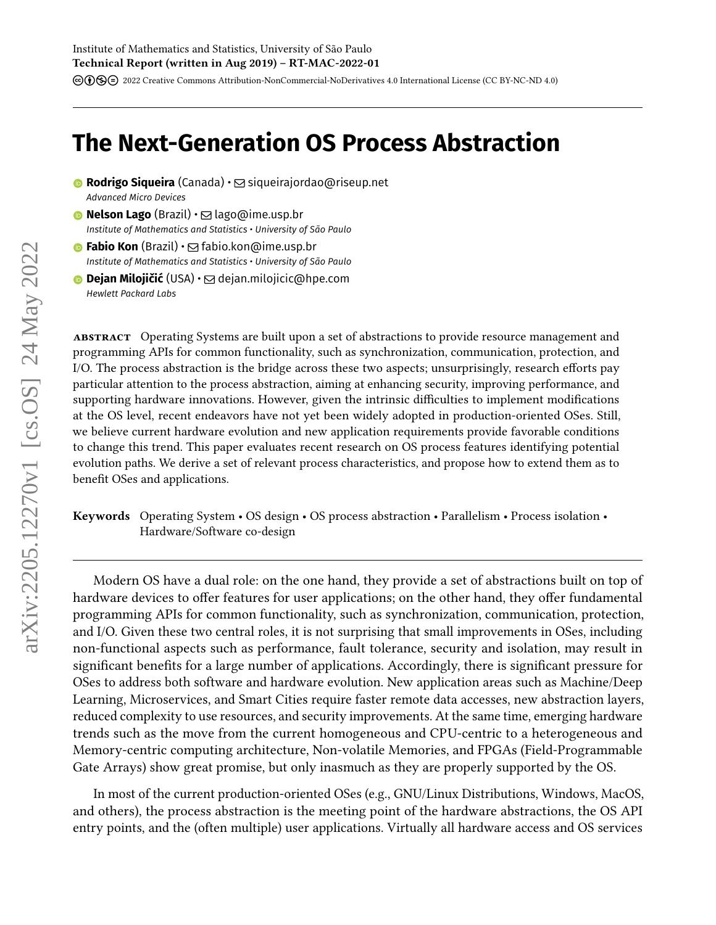cbnd [2022 Creative Commons Attribution-NonCommercial-NoDerivatives 4.0 International License \(CC BY-NC-ND 4.0\)](https://creativecommons.org/licenses/by-nc-nd/4.0/)

# **The Next-Generation OS Process Abstraction**

- **Rodrigo Siqueira** (Canada) · Siqueirajordao@riseup.net *Advanced Micro Devices*
- **Nelson Lago** (Brazil) ⊠ lago@ime.usp.br *Institute of Mathematics and Statistics • University of São Paulo*
- **© Fabio Kon** (Brazil) **⊠** fabio.kon@ime.usp.br *Institute of Mathematics and Statistics • University of São Paulo*
- **© Dejan Milojičić** (USA) ⊠ dejan.milojicic@hpe.com *Hewlett Packard Labs*

**abstract** Operating Systems are built upon a set of abstractions to provide resource management and programming APIs for common functionality, such as synchronization, communication, protection, and I/O. The process abstraction is the bridge across these two aspects; unsurprisingly, research efforts pay particular attention to the process abstraction, aiming at enhancing security, improving performance, and supporting hardware innovations. However, given the intrinsic difficulties to implement modifications at the OS level, recent endeavors have not yet been widely adopted in production-oriented OSes. Still, we believe current hardware evolution and new application requirements provide favorable conditions to change this trend. This paper evaluates recent research on OS process features identifying potential evolution paths. We derive a set of relevant process characteristics, and propose how to extend them as to benefit OSes and applications.

**Keywords** Operating System • OS design • OS process abstraction • Parallelism • Process isolation • Hardware/Software co-design

Modern OS have a dual role: on the one hand, they provide a set of abstractions built on top of hardware devices to offer features for user applications; on the other hand, they offer fundamental programming APIs for common functionality, such as synchronization, communication, protection, and I/O. Given these two central roles, it is not surprising that small improvements in OSes, including non-functional aspects such as performance, fault tolerance, security and isolation, may result in significant benefits for a large number of applications. Accordingly, there is significant pressure for OSes to address both software and hardware evolution. New application areas such as Machine/Deep Learning, Microservices, and Smart Cities require faster remote data accesses, new abstraction layers, reduced complexity to use resources, and security improvements. At the same time, emerging hardware trends such as the move from the current homogeneous and CPU-centric to a heterogeneous and Memory-centric computing architecture, Non-volatile Memories, and FPGAs (Field-Programmable Gate Arrays) show great promise, but only inasmuch as they are properly supported by the OS.

In most of the current production-oriented OSes (e.g., GNU/Linux Distributions, Windows, MacOS, and others), the process abstraction is the meeting point of the hardware abstractions, the OS API entry points, and the (often multiple) user applications. Virtually all hardware access and OS services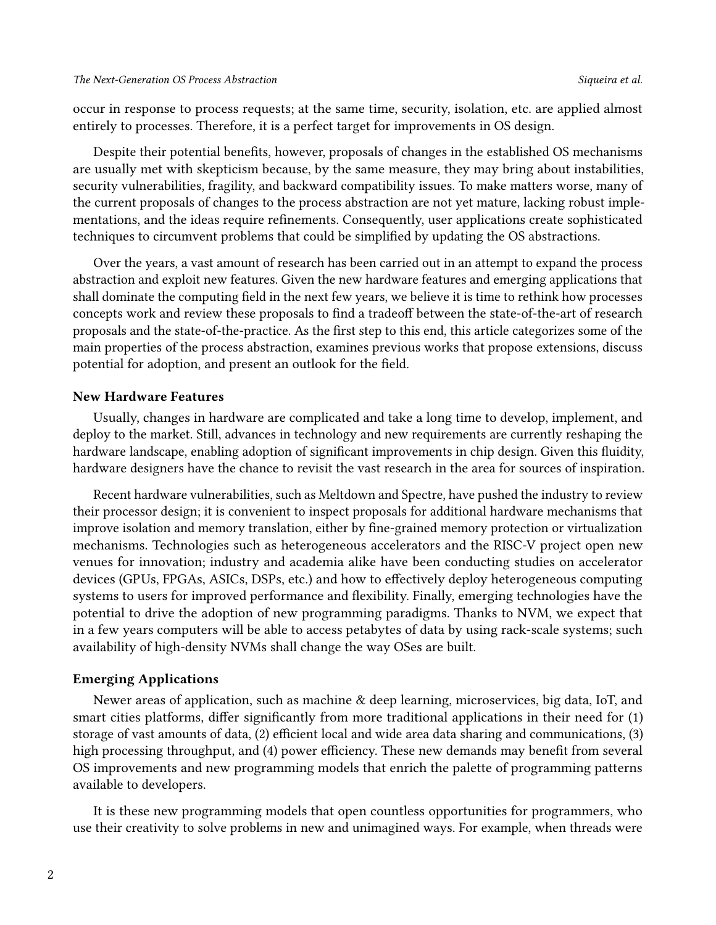occur in response to process requests; at the same time, security, isolation, etc. are applied almost entirely to processes. Therefore, it is a perfect target for improvements in OS design.

Despite their potential benefits, however, proposals of changes in the established OS mechanisms are usually met with skepticism because, by the same measure, they may bring about instabilities, security vulnerabilities, fragility, and backward compatibility issues. To make matters worse, many of the current proposals of changes to the process abstraction are not yet mature, lacking robust implementations, and the ideas require refinements. Consequently, user applications create sophisticated techniques to circumvent problems that could be simplified by updating the OS abstractions.

Over the years, a vast amount of research has been carried out in an attempt to expand the process abstraction and exploit new features. Given the new hardware features and emerging applications that shall dominate the computing field in the next few years, we believe it is time to rethink how processes concepts work and review these proposals to find a tradeoff between the state-of-the-art of research proposals and the state-of-the-practice. As the first step to this end, this article categorizes some of the main properties of the process abstraction, examines previous works that propose extensions, discuss potential for adoption, and present an outlook for the field.

#### **New Hardware Features**

Usually, changes in hardware are complicated and take a long time to develop, implement, and deploy to the market. Still, advances in technology and new requirements are currently reshaping the hardware landscape, enabling adoption of significant improvements in chip design. Given this fluidity, hardware designers have the chance to revisit the vast research in the area for sources of inspiration.

Recent hardware vulnerabilities, such as Meltdown and Spectre, have pushed the industry to review their processor design; it is convenient to inspect proposals for additional hardware mechanisms that improve isolation and memory translation, either by fine-grained memory protection or virtualization mechanisms. Technologies such as heterogeneous accelerators and the RISC-V project open new venues for innovation; industry and academia alike have been conducting studies on accelerator devices (GPUs, FPGAs, ASICs, DSPs, etc.) and how to effectively deploy heterogeneous computing systems to users for improved performance and flexibility. Finally, emerging technologies have the potential to drive the adoption of new programming paradigms. Thanks to NVM, we expect that in a few years computers will be able to access petabytes of data by using rack-scale systems; such availability of high-density NVMs shall change the way OSes are built.

#### **Emerging Applications**

Newer areas of application, such as machine & deep learning, microservices, big data, IoT, and smart cities platforms, differ significantly from more traditional applications in their need for (1) storage of vast amounts of data, (2) efficient local and wide area data sharing and communications, (3) high processing throughput, and (4) power efficiency. These new demands may benefit from several OS improvements and new programming models that enrich the palette of programming patterns available to developers.

It is these new programming models that open countless opportunities for programmers, who use their creativity to solve problems in new and unimagined ways. For example, when threads were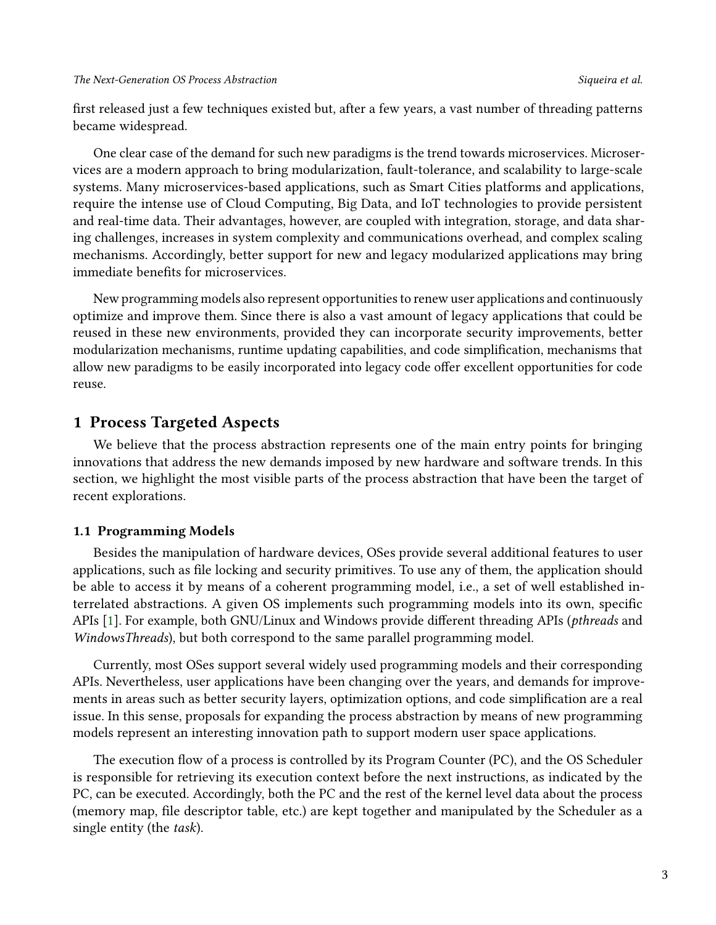first released just a few techniques existed but, after a few years, a vast number of threading patterns became widespread.

One clear case of the demand for such new paradigms is the trend towards microservices. Microservices are a modern approach to bring modularization, fault-tolerance, and scalability to large-scale systems. Many microservices-based applications, such as Smart Cities platforms and applications, require the intense use of Cloud Computing, Big Data, and IoT technologies to provide persistent and real-time data. Their advantages, however, are coupled with integration, storage, and data sharing challenges, increases in system complexity and communications overhead, and complex scaling mechanisms. Accordingly, better support for new and legacy modularized applications may bring immediate benefits for microservices.

New programming models also represent opportunities to renew user applications and continuously optimize and improve them. Since there is also a vast amount of legacy applications that could be reused in these new environments, provided they can incorporate security improvements, better modularization mechanisms, runtime updating capabilities, and code simplification, mechanisms that allow new paradigms to be easily incorporated into legacy code offer excellent opportunities for code reuse.

# **1 Process Targeted Aspects**

We believe that the process abstraction represents one of the main entry points for bringing innovations that address the new demands imposed by new hardware and software trends. In this section, we highlight the most visible parts of the process abstraction that have been the target of recent explorations.

# **1.1 Programming Models**

Besides the manipulation of hardware devices, OSes provide several additional features to user applications, such as file locking and security primitives. To use any of them, the application should be able to access it by means of a coherent programming model, i.e., a set of well established interrelated abstractions. A given OS implements such programming models into its own, specific APIs [\[1\]](#page-10-0). For example, both GNU/Linux and Windows provide different threading APIs (*pthreads* and *WindowsThreads*), but both correspond to the same parallel programming model.

Currently, most OSes support several widely used programming models and their corresponding APIs. Nevertheless, user applications have been changing over the years, and demands for improvements in areas such as better security layers, optimization options, and code simplification are a real issue. In this sense, proposals for expanding the process abstraction by means of new programming models represent an interesting innovation path to support modern user space applications.

The execution flow of a process is controlled by its Program Counter (PC), and the OS Scheduler is responsible for retrieving its execution context before the next instructions, as indicated by the PC, can be executed. Accordingly, both the PC and the rest of the kernel level data about the process (memory map, file descriptor table, etc.) are kept together and manipulated by the Scheduler as a single entity (the *task*).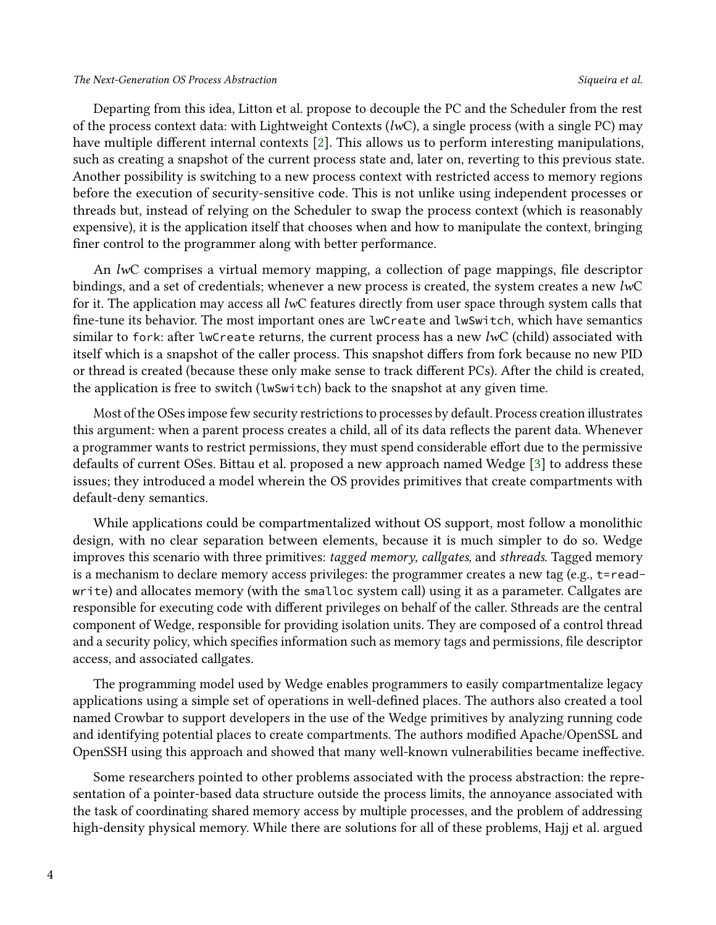#### *The Next-Generation OS Process Abstraction Siqueira et al.*

Departing from this idea, Litton et al. propose to decouple the PC and the Scheduler from the rest of the process context data: with Lightweight Contexts (*lw*C), a single process (with a single PC) may have multiple different internal contexts [\[2\]](#page-10-1). This allows us to perform interesting manipulations, such as creating a snapshot of the current process state and, later on, reverting to this previous state. Another possibility is switching to a new process context with restricted access to memory regions before the execution of security-sensitive code. This is not unlike using independent processes or threads but, instead of relying on the Scheduler to swap the process context (which is reasonably expensive), it is the application itself that chooses when and how to manipulate the context, bringing finer control to the programmer along with better performance.

An *lw*C comprises a virtual memory mapping, a collection of page mappings, file descriptor bindings, and a set of credentials; whenever a new process is created, the system creates a new *lw*C for it. The application may access all *lw*C features directly from user space through system calls that fine-tune its behavior. The most important ones are lwCreate and lwSwitch, which have semantics similar to fork: after lwCreate returns, the current process has a new *lw*C (child) associated with itself which is a snapshot of the caller process. This snapshot differs from fork because no new PID or thread is created (because these only make sense to track different PCs). After the child is created, the application is free to switch (lwSwitch) back to the snapshot at any given time.

Most of the OSes impose few security restrictions to processes by default. Process creation illustrates this argument: when a parent process creates a child, all of its data reflects the parent data. Whenever a programmer wants to restrict permissions, they must spend considerable effort due to the permissive defaults of current OSes. Bittau et al. proposed a new approach named Wedge [\[3\]](#page-10-2) to address these issues; they introduced a model wherein the OS provides primitives that create compartments with default-deny semantics.

While applications could be compartmentalized without OS support, most follow a monolithic design, with no clear separation between elements, because it is much simpler to do so. Wedge improves this scenario with three primitives: *tagged memory*, *callgates*, and *sthreads*. Tagged memory is a mechanism to declare memory access privileges: the programmer creates a new tag (e.g., t=readwrite) and allocates memory (with the smalloc system call) using it as a parameter. Callgates are responsible for executing code with different privileges on behalf of the caller. Sthreads are the central component of Wedge, responsible for providing isolation units. They are composed of a control thread and a security policy, which specifies information such as memory tags and permissions, file descriptor access, and associated callgates.

The programming model used by Wedge enables programmers to easily compartmentalize legacy applications using a simple set of operations in well-defined places. The authors also created a tool named Crowbar to support developers in the use of the Wedge primitives by analyzing running code and identifying potential places to create compartments. The authors modified Apache/OpenSSL and OpenSSH using this approach and showed that many well-known vulnerabilities became ineffective.

Some researchers pointed to other problems associated with the process abstraction: the representation of a pointer-based data structure outside the process limits, the annoyance associated with the task of coordinating shared memory access by multiple processes, and the problem of addressing high-density physical memory. While there are solutions for all of these problems, Hajj et al. argued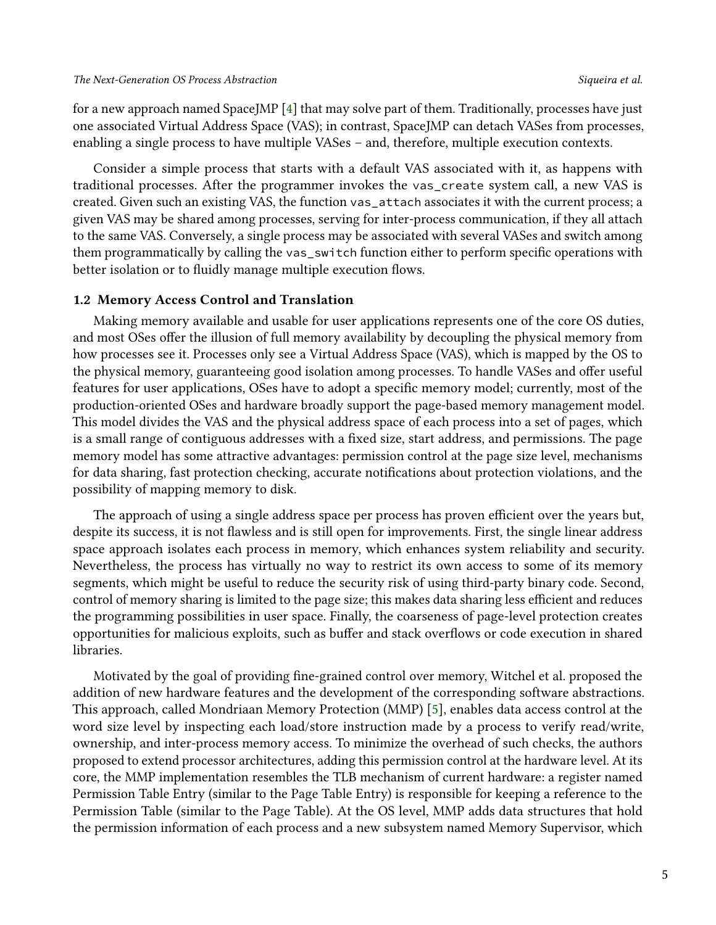for a new approach named SpaceJMP [\[4\]](#page-10-3) that may solve part of them. Traditionally, processes have just one associated Virtual Address Space (VAS); in contrast, SpaceJMP can detach VASes from processes, enabling a single process to have multiple VASes – and, therefore, multiple execution contexts.

Consider a simple process that starts with a default VAS associated with it, as happens with traditional processes. After the programmer invokes the vas\_create system call, a new VAS is created. Given such an existing VAS, the function vas\_attach associates it with the current process; a given VAS may be shared among processes, serving for inter-process communication, if they all attach to the same VAS. Conversely, a single process may be associated with several VASes and switch among them programmatically by calling the vas\_switch function either to perform specific operations with better isolation or to fluidly manage multiple execution flows.

#### **1.2 Memory Access Control and Translation**

Making memory available and usable for user applications represents one of the core OS duties, and most OSes offer the illusion of full memory availability by decoupling the physical memory from how processes see it. Processes only see a Virtual Address Space (VAS), which is mapped by the OS to the physical memory, guaranteeing good isolation among processes. To handle VASes and offer useful features for user applications, OSes have to adopt a specific memory model; currently, most of the production-oriented OSes and hardware broadly support the page-based memory management model. This model divides the VAS and the physical address space of each process into a set of pages, which is a small range of contiguous addresses with a fixed size, start address, and permissions. The page memory model has some attractive advantages: permission control at the page size level, mechanisms for data sharing, fast protection checking, accurate notifications about protection violations, and the possibility of mapping memory to disk.

The approach of using a single address space per process has proven efficient over the years but, despite its success, it is not flawless and is still open for improvements. First, the single linear address space approach isolates each process in memory, which enhances system reliability and security. Nevertheless, the process has virtually no way to restrict its own access to some of its memory segments, which might be useful to reduce the security risk of using third-party binary code. Second, control of memory sharing is limited to the page size; this makes data sharing less efficient and reduces the programming possibilities in user space. Finally, the coarseness of page-level protection creates opportunities for malicious exploits, such as buffer and stack overflows or code execution in shared libraries.

Motivated by the goal of providing fine-grained control over memory, Witchel et al. proposed the addition of new hardware features and the development of the corresponding software abstractions. This approach, called Mondriaan Memory Protection (MMP) [\[5\]](#page-10-4), enables data access control at the word size level by inspecting each load/store instruction made by a process to verify read/write, ownership, and inter-process memory access. To minimize the overhead of such checks, the authors proposed to extend processor architectures, adding this permission control at the hardware level. At its core, the MMP implementation resembles the TLB mechanism of current hardware: a register named Permission Table Entry (similar to the Page Table Entry) is responsible for keeping a reference to the Permission Table (similar to the Page Table). At the OS level, MMP adds data structures that hold the permission information of each process and a new subsystem named Memory Supervisor, which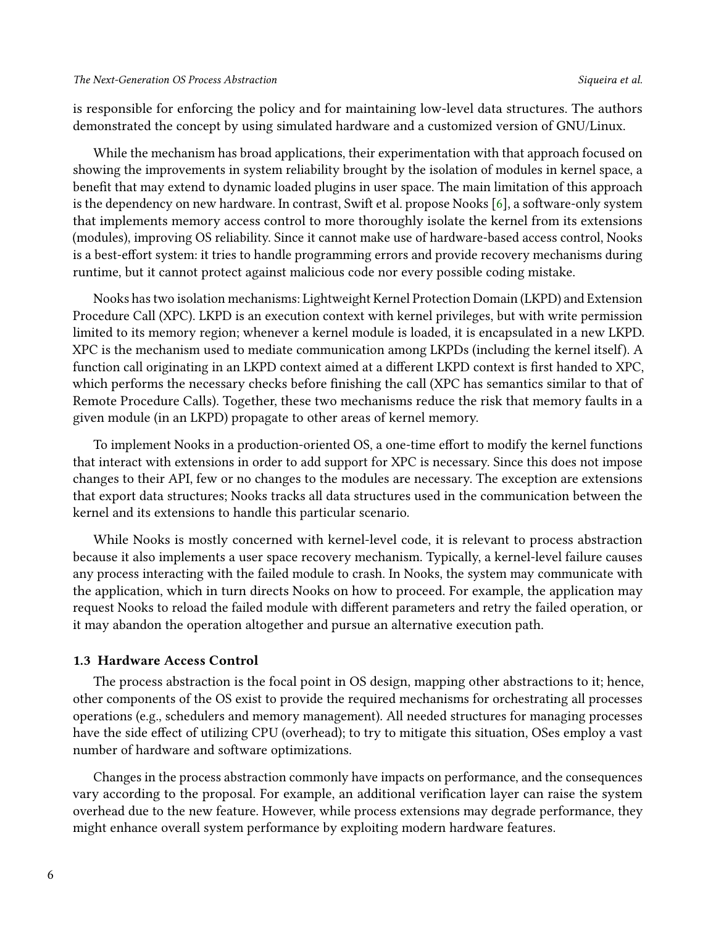is responsible for enforcing the policy and for maintaining low-level data structures. The authors demonstrated the concept by using simulated hardware and a customized version of GNU/Linux.

While the mechanism has broad applications, their experimentation with that approach focused on showing the improvements in system reliability brought by the isolation of modules in kernel space, a benefit that may extend to dynamic loaded plugins in user space. The main limitation of this approach is the dependency on new hardware. In contrast, Swift et al. propose Nooks [\[6\]](#page-10-5), a software-only system that implements memory access control to more thoroughly isolate the kernel from its extensions (modules), improving OS reliability. Since it cannot make use of hardware-based access control, Nooks is a best-effort system: it tries to handle programming errors and provide recovery mechanisms during runtime, but it cannot protect against malicious code nor every possible coding mistake.

Nooks has two isolation mechanisms: Lightweight Kernel Protection Domain (LKPD) and Extension Procedure Call (XPC). LKPD is an execution context with kernel privileges, but with write permission limited to its memory region; whenever a kernel module is loaded, it is encapsulated in a new LKPD. XPC is the mechanism used to mediate communication among LKPDs (including the kernel itself). A function call originating in an LKPD context aimed at a different LKPD context is first handed to XPC, which performs the necessary checks before finishing the call (XPC has semantics similar to that of Remote Procedure Calls). Together, these two mechanisms reduce the risk that memory faults in a given module (in an LKPD) propagate to other areas of kernel memory.

To implement Nooks in a production-oriented OS, a one-time effort to modify the kernel functions that interact with extensions in order to add support for XPC is necessary. Since this does not impose changes to their API, few or no changes to the modules are necessary. The exception are extensions that export data structures; Nooks tracks all data structures used in the communication between the kernel and its extensions to handle this particular scenario.

While Nooks is mostly concerned with kernel-level code, it is relevant to process abstraction because it also implements a user space recovery mechanism. Typically, a kernel-level failure causes any process interacting with the failed module to crash. In Nooks, the system may communicate with the application, which in turn directs Nooks on how to proceed. For example, the application may request Nooks to reload the failed module with different parameters and retry the failed operation, or it may abandon the operation altogether and pursue an alternative execution path.

#### **1.3 Hardware Access Control**

The process abstraction is the focal point in OS design, mapping other abstractions to it; hence, other components of the OS exist to provide the required mechanisms for orchestrating all processes operations (e.g., schedulers and memory management). All needed structures for managing processes have the side effect of utilizing CPU (overhead); to try to mitigate this situation, OSes employ a vast number of hardware and software optimizations.

Changes in the process abstraction commonly have impacts on performance, and the consequences vary according to the proposal. For example, an additional verification layer can raise the system overhead due to the new feature. However, while process extensions may degrade performance, they might enhance overall system performance by exploiting modern hardware features.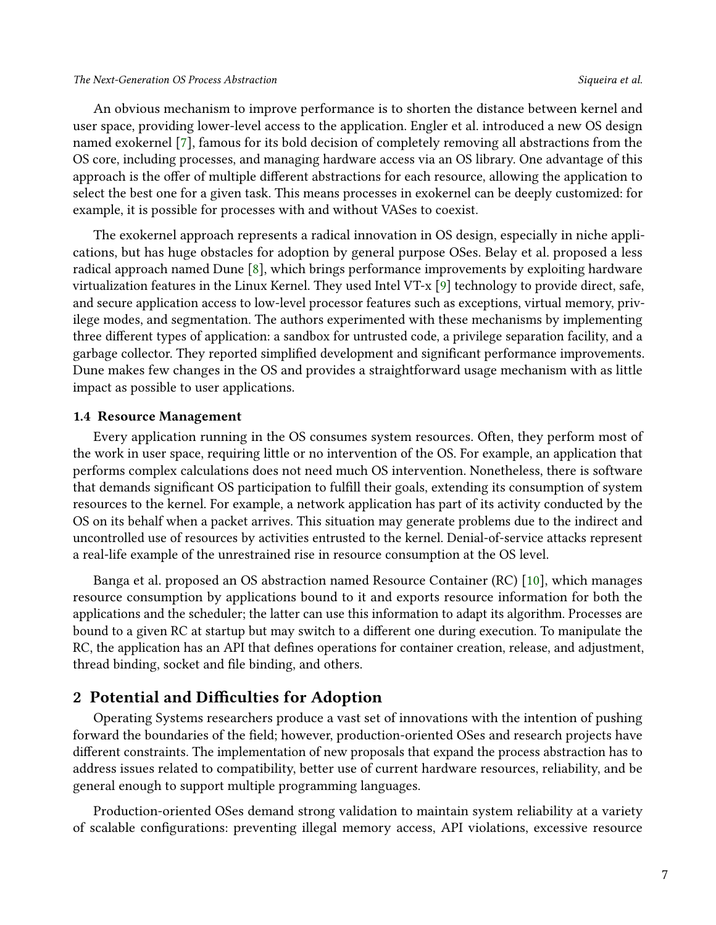#### *The Next-Generation OS Process Abstraction Siqueira et al.*

An obvious mechanism to improve performance is to shorten the distance between kernel and user space, providing lower-level access to the application. Engler et al. introduced a new OS design named exokernel [\[7\]](#page-10-6), famous for its bold decision of completely removing all abstractions from the OS core, including processes, and managing hardware access via an OS library. One advantage of this approach is the offer of multiple different abstractions for each resource, allowing the application to select the best one for a given task. This means processes in exokernel can be deeply customized: for example, it is possible for processes with and without VASes to coexist.

The exokernel approach represents a radical innovation in OS design, especially in niche applications, but has huge obstacles for adoption by general purpose OSes. Belay et al. proposed a less radical approach named Dune [\[8\]](#page-10-7), which brings performance improvements by exploiting hardware virtualization features in the Linux Kernel. They used Intel VT-x [\[9\]](#page-11-0) technology to provide direct, safe, and secure application access to low-level processor features such as exceptions, virtual memory, privilege modes, and segmentation. The authors experimented with these mechanisms by implementing three different types of application: a sandbox for untrusted code, a privilege separation facility, and a garbage collector. They reported simplified development and significant performance improvements. Dune makes few changes in the OS and provides a straightforward usage mechanism with as little impact as possible to user applications.

#### **1.4 Resource Management**

Every application running in the OS consumes system resources. Often, they perform most of the work in user space, requiring little or no intervention of the OS. For example, an application that performs complex calculations does not need much OS intervention. Nonetheless, there is software that demands significant OS participation to fulfill their goals, extending its consumption of system resources to the kernel. For example, a network application has part of its activity conducted by the OS on its behalf when a packet arrives. This situation may generate problems due to the indirect and uncontrolled use of resources by activities entrusted to the kernel. Denial-of-service attacks represent a real-life example of the unrestrained rise in resource consumption at the OS level.

Banga et al. proposed an OS abstraction named Resource Container (RC) [\[10\]](#page-11-1), which manages resource consumption by applications bound to it and exports resource information for both the applications and the scheduler; the latter can use this information to adapt its algorithm. Processes are bound to a given RC at startup but may switch to a different one during execution. To manipulate the RC, the application has an API that defines operations for container creation, release, and adjustment, thread binding, socket and file binding, and others.

#### **2 Potential and Difficulties for Adoption**

Operating Systems researchers produce a vast set of innovations with the intention of pushing forward the boundaries of the field; however, production-oriented OSes and research projects have different constraints. The implementation of new proposals that expand the process abstraction has to address issues related to compatibility, better use of current hardware resources, reliability, and be general enough to support multiple programming languages.

Production-oriented OSes demand strong validation to maintain system reliability at a variety of scalable configurations: preventing illegal memory access, API violations, excessive resource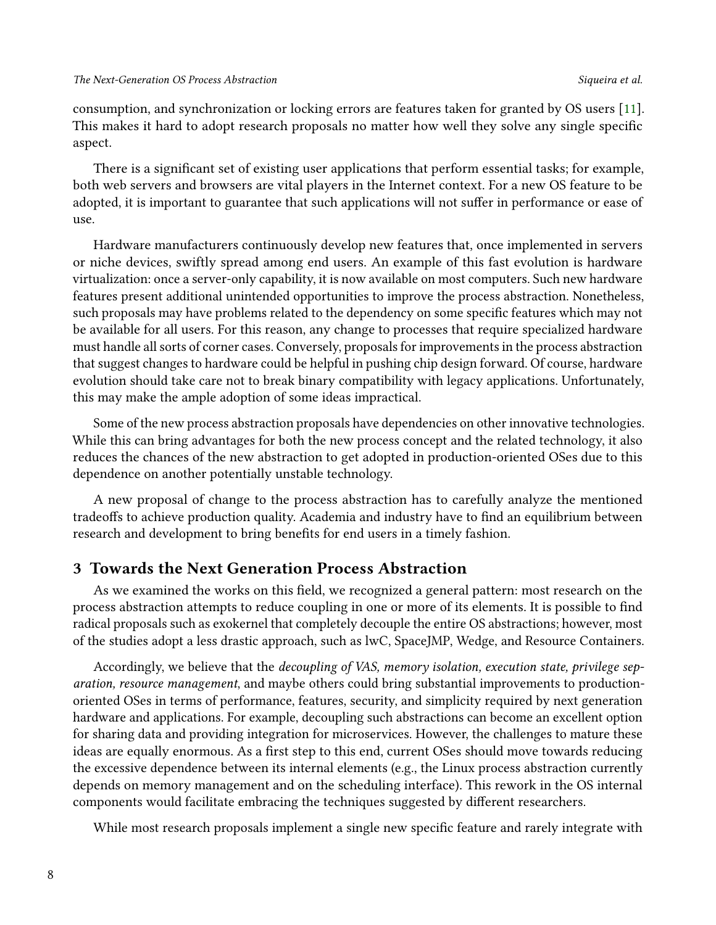consumption, and synchronization or locking errors are features taken for granted by OS users [\[11\]](#page-11-2). This makes it hard to adopt research proposals no matter how well they solve any single specific aspect.

There is a significant set of existing user applications that perform essential tasks; for example, both web servers and browsers are vital players in the Internet context. For a new OS feature to be adopted, it is important to guarantee that such applications will not suffer in performance or ease of use.

Hardware manufacturers continuously develop new features that, once implemented in servers or niche devices, swiftly spread among end users. An example of this fast evolution is hardware virtualization: once a server-only capability, it is now available on most computers. Such new hardware features present additional unintended opportunities to improve the process abstraction. Nonetheless, such proposals may have problems related to the dependency on some specific features which may not be available for all users. For this reason, any change to processes that require specialized hardware must handle all sorts of corner cases. Conversely, proposals for improvements in the process abstraction that suggest changes to hardware could be helpful in pushing chip design forward. Of course, hardware evolution should take care not to break binary compatibility with legacy applications. Unfortunately, this may make the ample adoption of some ideas impractical.

Some of the new process abstraction proposals have dependencies on other innovative technologies. While this can bring advantages for both the new process concept and the related technology, it also reduces the chances of the new abstraction to get adopted in production-oriented OSes due to this dependence on another potentially unstable technology.

A new proposal of change to the process abstraction has to carefully analyze the mentioned tradeoffs to achieve production quality. Academia and industry have to find an equilibrium between research and development to bring benefits for end users in a timely fashion.

# **3 Towards the Next Generation Process Abstraction**

As we examined the works on this field, we recognized a general pattern: most research on the process abstraction attempts to reduce coupling in one or more of its elements. It is possible to find radical proposals such as exokernel that completely decouple the entire OS abstractions; however, most of the studies adopt a less drastic approach, such as lwC, SpaceJMP, Wedge, and Resource Containers.

Accordingly, we believe that the *decoupling of VAS, memory isolation, execution state, privilege separation, resource management*, and maybe others could bring substantial improvements to productionoriented OSes in terms of performance, features, security, and simplicity required by next generation hardware and applications. For example, decoupling such abstractions can become an excellent option for sharing data and providing integration for microservices. However, the challenges to mature these ideas are equally enormous. As a first step to this end, current OSes should move towards reducing the excessive dependence between its internal elements (e.g., the Linux process abstraction currently depends on memory management and on the scheduling interface). This rework in the OS internal components would facilitate embracing the techniques suggested by different researchers.

While most research proposals implement a single new specific feature and rarely integrate with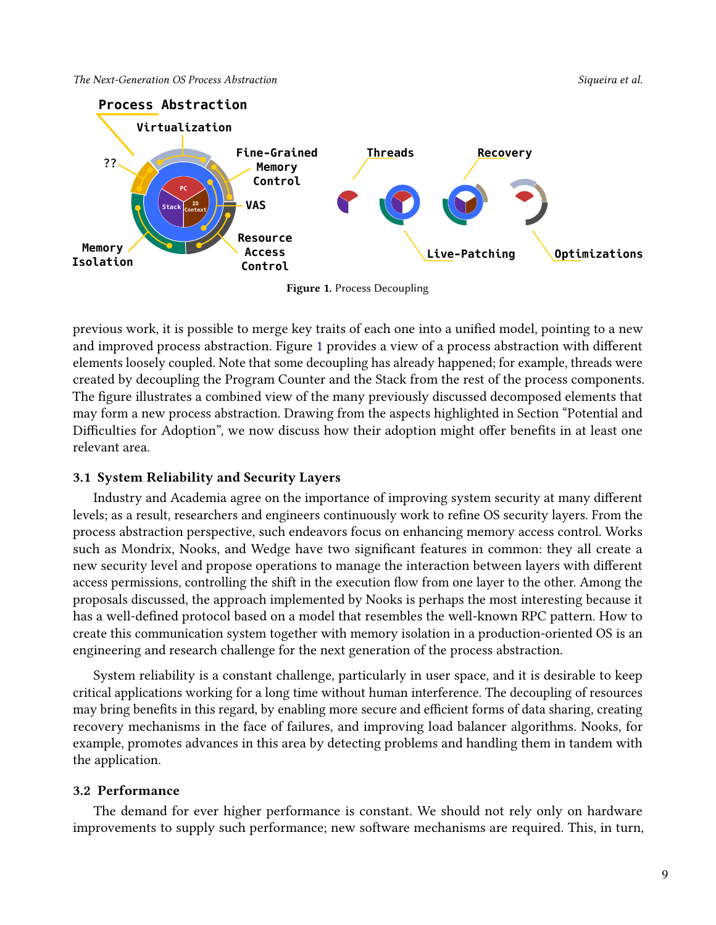

<span id="page-8-0"></span>

**Figure 1.** Process Decoupling

previous work, it is possible to merge key traits of each one into a unified model, pointing to a new and improved process abstraction. Figure [1](#page-8-0) provides a view of a process abstraction with different elements loosely coupled. Note that some decoupling has already happened; for example, threads were created by decoupling the Program Counter and the Stack from the rest of the process components. The figure illustrates a combined view of the many previously discussed decomposed elements that may form a new process abstraction. Drawing from the aspects highlighted in Section "Potential and Difficulties for Adoption", we now discuss how their adoption might offer benefits in at least one relevant area.

# **3.1 System Reliability and Security Layers**

Industry and Academia agree on the importance of improving system security at many different levels; as a result, researchers and engineers continuously work to refine OS security layers. From the process abstraction perspective, such endeavors focus on enhancing memory access control. Works such as Mondrix, Nooks, and Wedge have two significant features in common: they all create a new security level and propose operations to manage the interaction between layers with different access permissions, controlling the shift in the execution flow from one layer to the other. Among the proposals discussed, the approach implemented by Nooks is perhaps the most interesting because it has a well-defined protocol based on a model that resembles the well-known RPC pattern. How to create this communication system together with memory isolation in a production-oriented OS is an engineering and research challenge for the next generation of the process abstraction.

System reliability is a constant challenge, particularly in user space, and it is desirable to keep critical applications working for a long time without human interference. The decoupling of resources may bring benefits in this regard, by enabling more secure and efficient forms of data sharing, creating recovery mechanisms in the face of failures, and improving load balancer algorithms. Nooks, for example, promotes advances in this area by detecting problems and handling them in tandem with the application.

#### **3.2 Performance**

The demand for ever higher performance is constant. We should not rely only on hardware improvements to supply such performance; new software mechanisms are required. This, in turn,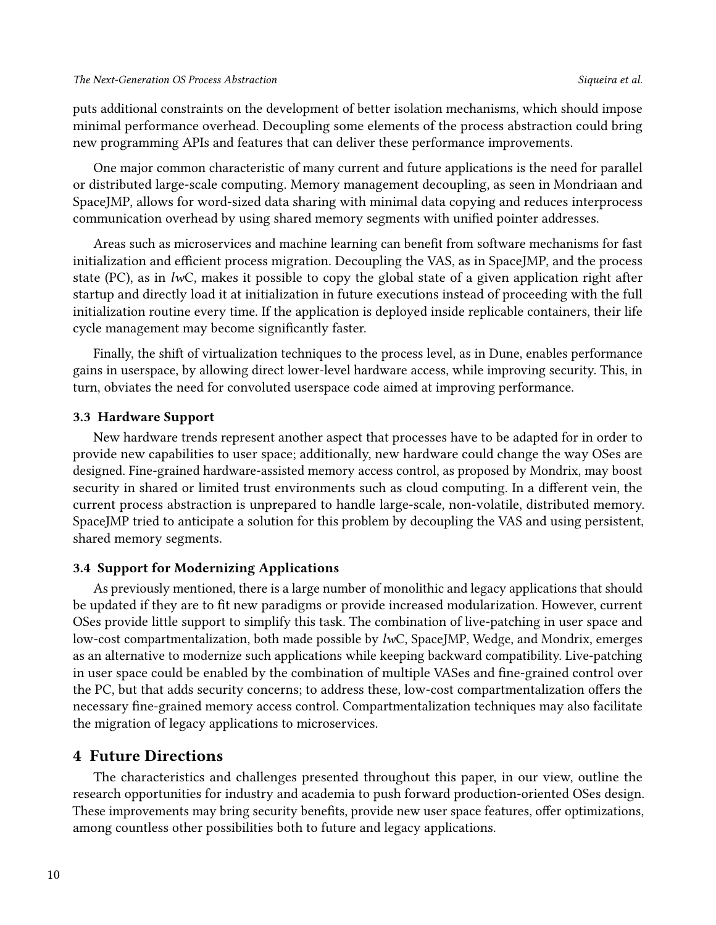puts additional constraints on the development of better isolation mechanisms, which should impose minimal performance overhead. Decoupling some elements of the process abstraction could bring new programming APIs and features that can deliver these performance improvements.

One major common characteristic of many current and future applications is the need for parallel or distributed large-scale computing. Memory management decoupling, as seen in Mondriaan and SpaceJMP, allows for word-sized data sharing with minimal data copying and reduces interprocess communication overhead by using shared memory segments with unified pointer addresses.

Areas such as microservices and machine learning can benefit from software mechanisms for fast initialization and efficient process migration. Decoupling the VAS, as in SpaceJMP, and the process state (PC), as in *lw*C, makes it possible to copy the global state of a given application right after startup and directly load it at initialization in future executions instead of proceeding with the full initialization routine every time. If the application is deployed inside replicable containers, their life cycle management may become significantly faster.

Finally, the shift of virtualization techniques to the process level, as in Dune, enables performance gains in userspace, by allowing direct lower-level hardware access, while improving security. This, in turn, obviates the need for convoluted userspace code aimed at improving performance.

### **3.3 Hardware Support**

New hardware trends represent another aspect that processes have to be adapted for in order to provide new capabilities to user space; additionally, new hardware could change the way OSes are designed. Fine-grained hardware-assisted memory access control, as proposed by Mondrix, may boost security in shared or limited trust environments such as cloud computing. In a different vein, the current process abstraction is unprepared to handle large-scale, non-volatile, distributed memory. SpaceJMP tried to anticipate a solution for this problem by decoupling the VAS and using persistent, shared memory segments.

# **3.4 Support for Modernizing Applications**

As previously mentioned, there is a large number of monolithic and legacy applications that should be updated if they are to fit new paradigms or provide increased modularization. However, current OSes provide little support to simplify this task. The combination of live-patching in user space and low-cost compartmentalization, both made possible by *lw*C, SpaceJMP, Wedge, and Mondrix, emerges as an alternative to modernize such applications while keeping backward compatibility. Live-patching in user space could be enabled by the combination of multiple VASes and fine-grained control over the PC, but that adds security concerns; to address these, low-cost compartmentalization offers the necessary fine-grained memory access control. Compartmentalization techniques may also facilitate the migration of legacy applications to microservices.

# **4 Future Directions**

The characteristics and challenges presented throughout this paper, in our view, outline the research opportunities for industry and academia to push forward production-oriented OSes design. These improvements may bring security benefits, provide new user space features, offer optimizations, among countless other possibilities both to future and legacy applications.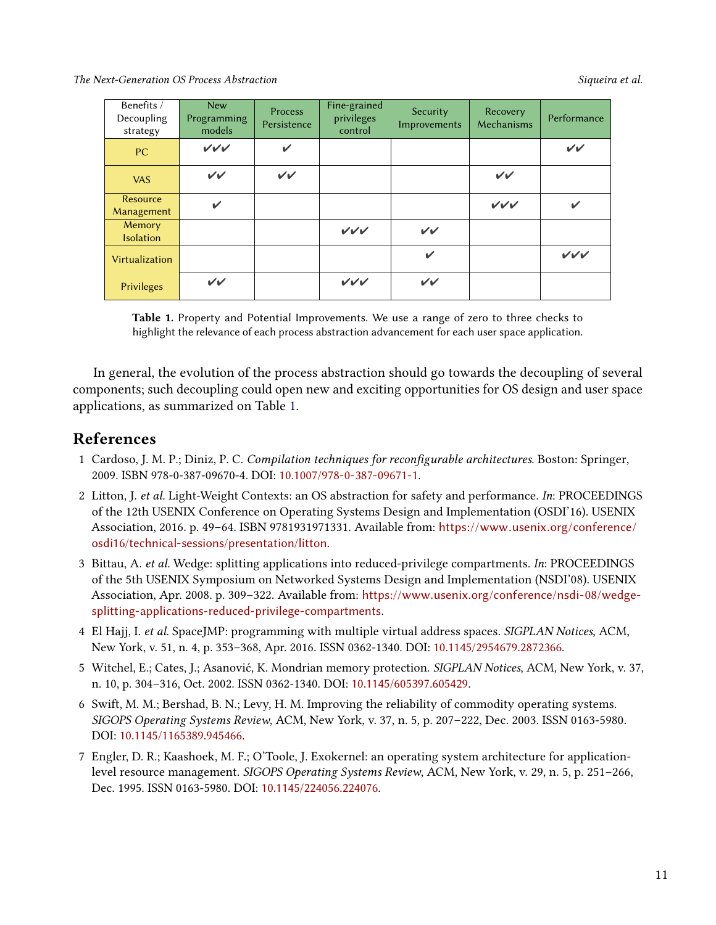<span id="page-10-8"></span>*The Next-Generation OS Process Abstraction Siqueira et al.*

| Benefits /<br>Decoupling<br>strategy | <b>New</b><br>Programming<br>models | Process<br>Persistence | Fine-grained<br>privileges<br>control | Security<br>Improvements | Recovery<br>Mechanisms | Performance  |
|--------------------------------------|-------------------------------------|------------------------|---------------------------------------|--------------------------|------------------------|--------------|
| <b>PC</b>                            | VVV                                 | ✓                      |                                       |                          |                        | $\checkmark$ |
| <b>VAS</b>                           | $\checkmark$                        | $\checkmark$           |                                       |                          | $\checkmark$           |              |
| Resource<br>Management               | $\checkmark$                        |                        |                                       |                          | VVV                    | $\checkmark$ |
| <b>Memory</b><br><b>Isolation</b>    |                                     |                        | VVV                                   | $\checkmark$             |                        |              |
| Virtualization                       |                                     |                        |                                       | ✓                        |                        | VVV          |
| Privileges                           | $\checkmark$                        |                        | VVV                                   | $\checkmark$             |                        |              |

**Table 1.** Property and Potential Improvements. We use a range of zero to three checks to highlight the relevance of each process abstraction advancement for each user space application.

In general, the evolution of the process abstraction should go towards the decoupling of several components; such decoupling could open new and exciting opportunities for OS design and user space applications, as summarized on Table [1.](#page-10-8)

# **References**

- <span id="page-10-0"></span>1 Cardoso, J. M. P.; Diniz, P. C. *Compilation techniques for reconfigurable architectures*. Boston: Springer, 2009. ISBN 978-0-387-09670-4. DOI: [10.1007/978-0-387-09671-1](https://doi.org/10.1007/978-0-387-09671-1).
- <span id="page-10-1"></span>2 Litton, J. *et al.* Light-Weight Contexts: an OS abstraction for safety and performance. *In*: PROCEEDINGS of the 12th USENIX Conference on Operating Systems Design and Implementation (OSDI'16). USENIX Association, 2016. p. 49–64. ISBN 9781931971331. Available from: [https://www.usenix.org/conference/](https://www.usenix.org/conference/osdi16/technical-sessions/presentation/litton) [osdi16/technical-sessions/presentation/litton](https://www.usenix.org/conference/osdi16/technical-sessions/presentation/litton).
- <span id="page-10-2"></span>3 Bittau, A. *et al.* Wedge: splitting applications into reduced-privilege compartments. *In*: PROCEEDINGS of the 5th USENIX Symposium on Networked Systems Design and Implementation (NSDI'08). USENIX Association, Apr. 2008. p. 309–322. Available from: [https://www.usenix.org/conference/nsdi-08/wedge](https://www.usenix.org/conference/nsdi-08/wedge-splitting-applications-reduced-privilege-compartments)[splitting-applications-reduced-privilege-compartments](https://www.usenix.org/conference/nsdi-08/wedge-splitting-applications-reduced-privilege-compartments).
- <span id="page-10-3"></span>4 El Hajj, I. *et al.* SpaceJMP: programming with multiple virtual address spaces. *SIGPLAN Notices*, ACM, New York, v. 51, n. 4, p. 353–368, Apr. 2016. ISSN 0362-1340. DOI: [10.1145/2954679.2872366](https://doi.org/10.1145/2954679.2872366).
- <span id="page-10-4"></span>5 Witchel, E.; Cates, J.; Asanović, K. Mondrian memory protection. *SIGPLAN Notices*, ACM, New York, v. 37, n. 10, p. 304–316, Oct. 2002. ISSN 0362-1340. DOI: [10.1145/605397.605429](https://doi.org/10.1145/605397.605429).
- <span id="page-10-5"></span>6 Swift, M. M.; Bershad, B. N.; Levy, H. M. Improving the reliability of commodity operating systems. *SIGOPS Operating Systems Review*, ACM, New York, v. 37, n. 5, p. 207–222, Dec. 2003. ISSN 0163-5980. DOI: [10.1145/1165389.945466](https://doi.org/10.1145/1165389.945466).
- <span id="page-10-7"></span><span id="page-10-6"></span>7 Engler, D. R.; Kaashoek, M. F.; O'Toole, J. Exokernel: an operating system architecture for applicationlevel resource management. *SIGOPS Operating Systems Review*, ACM, New York, v. 29, n. 5, p. 251–266, Dec. 1995. ISSN 0163-5980. DOI: [10.1145/224056.224076](https://doi.org/10.1145/224056.224076).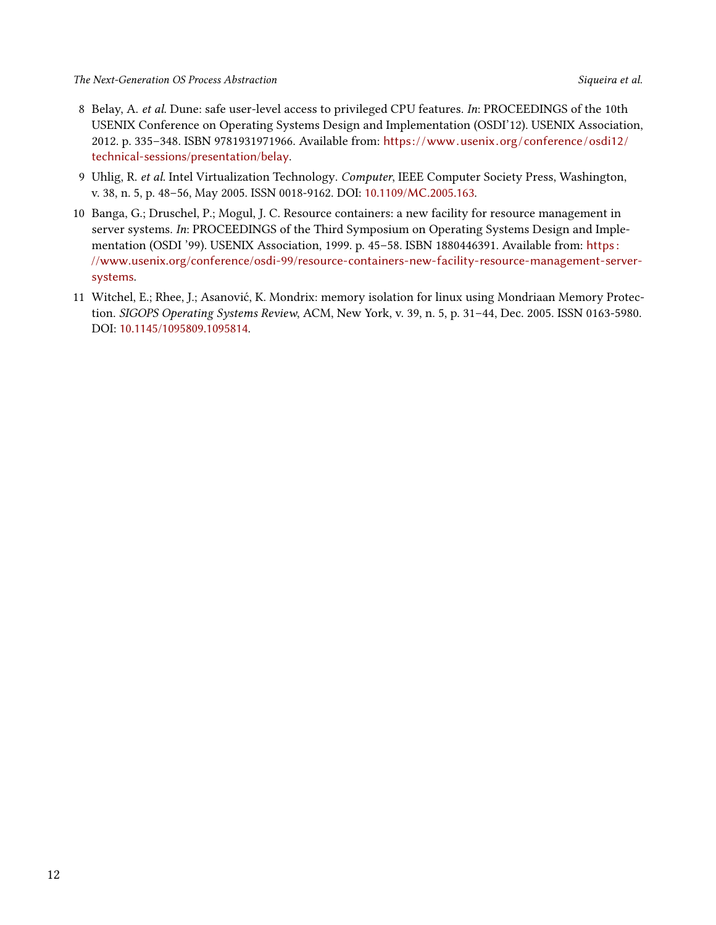- 8 Belay, A. *et al.* Dune: safe user-level access to privileged CPU features. *In*: PROCEEDINGS of the 10th USENIX Conference on Operating Systems Design and Implementation (OSDI'12). USENIX Association, 2012. p. 335–348. ISBN 9781931971966. Available from: [https: / /www.usenix.org /conference /osdi12 /](https://www.usenix.org/conference/osdi12/technical-sessions/presentation/belay) [technical-sessions/presentation/belay](https://www.usenix.org/conference/osdi12/technical-sessions/presentation/belay).
- <span id="page-11-0"></span>9 Uhlig, R. *et al.* Intel Virtualization Technology. *Computer*, IEEE Computer Society Press, Washington, v. 38, n. 5, p. 48–56, May 2005. ISSN 0018-9162. DOI: [10.1109/MC.2005.163](https://doi.org/10.1109/MC.2005.163).
- <span id="page-11-1"></span>10 Banga, G.; Druschel, P.; Mogul, J. C. Resource containers: a new facility for resource management in server systems. *In*: PROCEEDINGS of the Third Symposium on Operating Systems Design and Implementation (OSDI '99). USENIX Association, 1999. p. 45–58. ISBN 1880446391. Available from: [https :](https://www.usenix.org/conference/osdi-99/resource-containers-new-facility-resource-management-server-systems) [//www.usenix.org/conference/osdi-99/resource-containers-new-facility-resource-management-server](https://www.usenix.org/conference/osdi-99/resource-containers-new-facility-resource-management-server-systems)[systems](https://www.usenix.org/conference/osdi-99/resource-containers-new-facility-resource-management-server-systems).
- <span id="page-11-2"></span>11 Witchel, E.; Rhee, J.; Asanović, K. Mondrix: memory isolation for linux using Mondriaan Memory Protection. *SIGOPS Operating Systems Review*, ACM, New York, v. 39, n. 5, p. 31–44, Dec. 2005. ISSN 0163-5980. DOI: [10.1145/1095809.1095814](https://doi.org/10.1145/1095809.1095814).